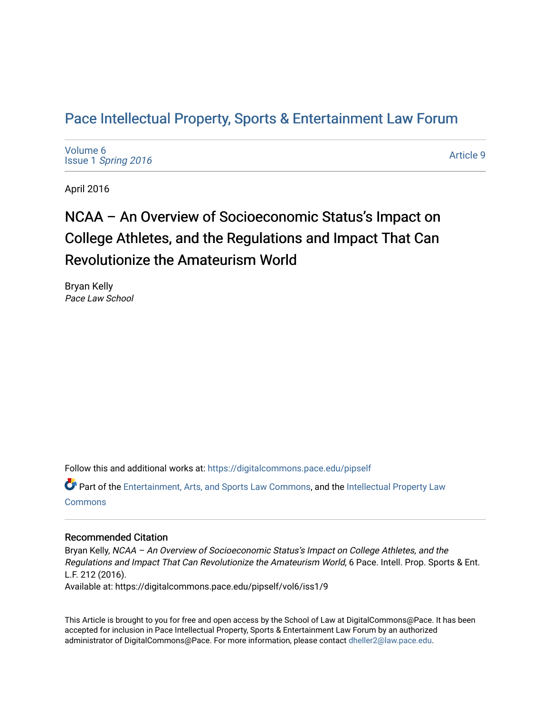## P[ace Intellectual Property, Sports & Enter](https://digitalcommons.pace.edu/pipself)tainment Law Forum

[Volume 6](https://digitalcommons.pace.edu/pipself/vol6) Issue 1 [Spring 2016](https://digitalcommons.pace.edu/pipself/vol6/iss1) 

[Article 9](https://digitalcommons.pace.edu/pipself/vol6/iss1/9) 

April 2016

# NCAA – An Overview of Socioeconomic Status's Impact on College Athletes, and the Regulations and Impact That Can Revolutionize the Amateurism World

Bryan Kelly Pace Law School

Follow this and additional works at: [https://digitalcommons.pace.edu/pipself](https://digitalcommons.pace.edu/pipself?utm_source=digitalcommons.pace.edu%2Fpipself%2Fvol6%2Fiss1%2F9&utm_medium=PDF&utm_campaign=PDFCoverPages) 

Part of the [Entertainment, Arts, and Sports Law Commons](http://network.bepress.com/hgg/discipline/893?utm_source=digitalcommons.pace.edu%2Fpipself%2Fvol6%2Fiss1%2F9&utm_medium=PDF&utm_campaign=PDFCoverPages), and the [Intellectual Property Law](http://network.bepress.com/hgg/discipline/896?utm_source=digitalcommons.pace.edu%2Fpipself%2Fvol6%2Fiss1%2F9&utm_medium=PDF&utm_campaign=PDFCoverPages) [Commons](http://network.bepress.com/hgg/discipline/896?utm_source=digitalcommons.pace.edu%2Fpipself%2Fvol6%2Fiss1%2F9&utm_medium=PDF&utm_campaign=PDFCoverPages)

### Recommended Citation

Bryan Kelly, NCAA – An Overview of Socioeconomic Status's Impact on College Athletes, and the Regulations and Impact That Can Revolutionize the Amateurism World, 6 Pace. Intell. Prop. Sports & Ent. L.F. 212 (2016).

Available at: https://digitalcommons.pace.edu/pipself/vol6/iss1/9

This Article is brought to you for free and open access by the School of Law at DigitalCommons@Pace. It has been accepted for inclusion in Pace Intellectual Property, Sports & Entertainment Law Forum by an authorized administrator of DigitalCommons@Pace. For more information, please contact [dheller2@law.pace.edu.](mailto:dheller2@law.pace.edu)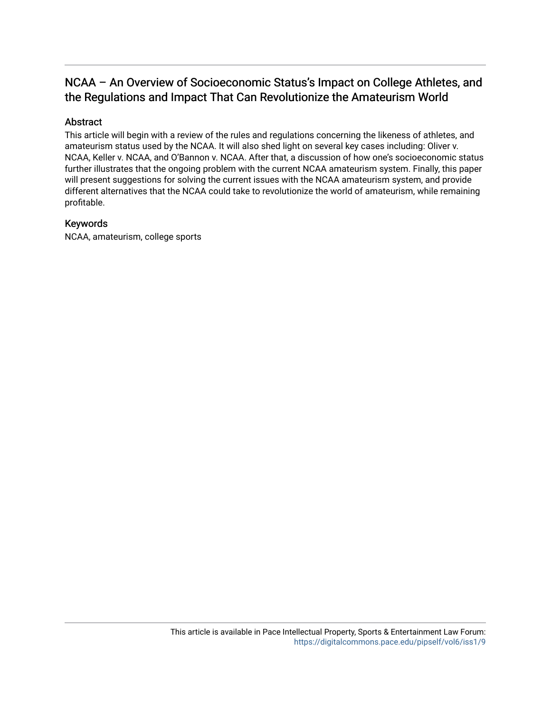## NCAA – An Overview of Socioeconomic Status's Impact on College Athletes, and the Regulations and Impact That Can Revolutionize the Amateurism World

## Abstract

This article will begin with a review of the rules and regulations concerning the likeness of athletes, and amateurism status used by the NCAA. It will also shed light on several key cases including: Oliver v. NCAA, Keller v. NCAA, and O'Bannon v. NCAA. After that, a discussion of how one's socioeconomic status further illustrates that the ongoing problem with the current NCAA amateurism system. Finally, this paper will present suggestions for solving the current issues with the NCAA amateurism system, and provide different alternatives that the NCAA could take to revolutionize the world of amateurism, while remaining profitable.

## Keywords

NCAA, amateurism, college sports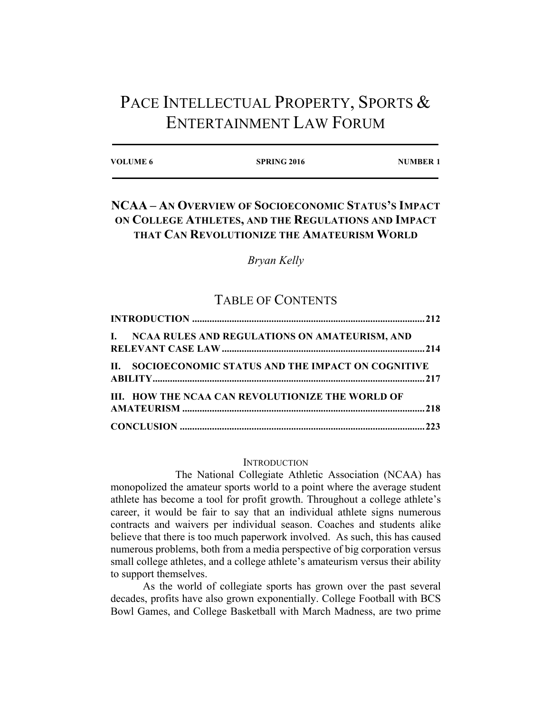## PACE INTELLECTUAL PROPERTY, SPORTS & ENTERTAINMENT LAW FORUM

| <b>VOLUME 6</b> | <b>SPRING 2016</b> | <b>NUMBER 1</b> |
|-----------------|--------------------|-----------------|
|                 |                    |                 |

## **NCAA – AN OVERVIEW OF SOCIOECONOMIC STATUS'S IMPACT ON COLLEGE ATHLETES, AND THE REGULATIONS AND IMPACT THAT CAN REVOLUTIONIZE THE AMATEURISM WORLD**

*Bryan Kelly*

## TABLE OF CONTENTS

| II. SOCIOECONOMIC STATUS AND THE IMPACT ON COGNITIVE |
|------------------------------------------------------|
|                                                      |
|                                                      |
|                                                      |
|                                                      |
|                                                      |

#### **INTRODUCTION**

The National Collegiate Athletic Association (NCAA) has monopolized the amateur sports world to a point where the average student athlete has become a tool for profit growth. Throughout a college athlete's career, it would be fair to say that an individual athlete signs numerous contracts and waivers per individual season. Coaches and students alike believe that there is too much paperwork involved. As such, this has caused numerous problems, both from a media perspective of big corporation versus small college athletes, and a college athlete's amateurism versus their ability to support themselves.

As the world of collegiate sports has grown over the past several decades, profits have also grown exponentially. College Football with BCS Bowl Games, and College Basketball with March Madness, are two prime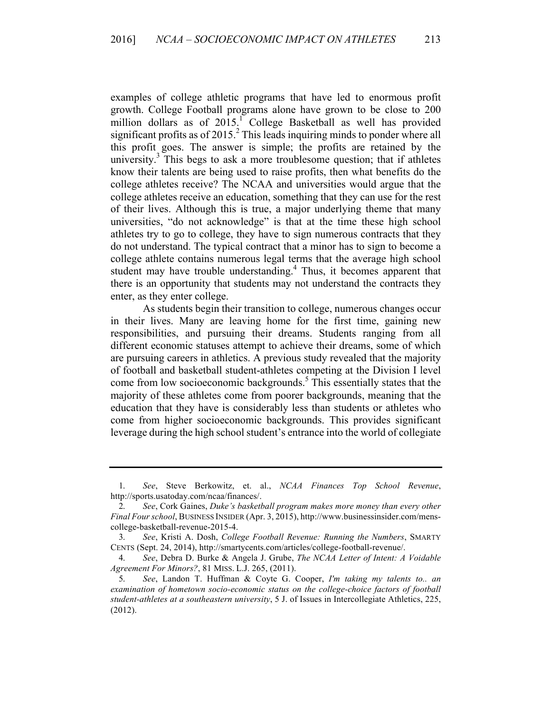examples of college athletic programs that have led to enormous profit growth. College Football programs alone have grown to be close to 200 million dollars as of 2015.<sup>1</sup> College Basketball as well has provided significant profits as of  $2015<sup>2</sup>$ . This leads inquiring minds to ponder where all this profit goes. The answer is simple; the profits are retained by the university.<sup>3</sup> This begs to ask a more troublesome question; that if athletes know their talents are being used to raise profits, then what benefits do the college athletes receive? The NCAA and universities would argue that the college athletes receive an education, something that they can use for the rest of their lives. Although this is true, a major underlying theme that many universities, "do not acknowledge" is that at the time these high school athletes try to go to college, they have to sign numerous contracts that they do not understand. The typical contract that a minor has to sign to become a college athlete contains numerous legal terms that the average high school student may have trouble understanding.<sup>4</sup> Thus, it becomes apparent that there is an opportunity that students may not understand the contracts they enter, as they enter college.

As students begin their transition to college, numerous changes occur in their lives. Many are leaving home for the first time, gaining new responsibilities, and pursuing their dreams. Students ranging from all different economic statuses attempt to achieve their dreams, some of which are pursuing careers in athletics. A previous study revealed that the majority of football and basketball student-athletes competing at the Division I level come from low socioeconomic backgrounds.<sup>5</sup> This essentially states that the majority of these athletes come from poorer backgrounds, meaning that the education that they have is considerably less than students or athletes who come from higher socioeconomic backgrounds. This provides significant leverage during the high school student's entrance into the world of collegiate

<sup>1.</sup> *See*, Steve Berkowitz, et. al., *NCAA Finances Top School Revenue*, http://sports.usatoday.com/ncaa/finances/.

<sup>2.</sup> *See*, Cork Gaines, *Duke's basketball program makes more money than every other Final Four school*, BUSINESS INSIDER (Apr. 3, 2015), http://www.businessinsider.com/menscollege-basketball-revenue-2015-4.

<sup>3.</sup> *See*, Kristi A. Dosh, *College Football Revenue: Running the Numbers*, SMARTY CENTS (Sept. 24, 2014), http://smartycents.com/articles/college-football-revenue/.

<sup>4.</sup> *See*, Debra D. Burke & Angela J. Grube, *The NCAA Letter of Intent: A Voidable Agreement For Minors?*, 81 MISS. L.J. 265, (2011).

<sup>5.</sup> *See*, Landon T. Huffman & Coyte G. Cooper, *I'm taking my talents to.. an examination of hometown socio-economic status on the college-choice factors of football student-athletes at a southeastern university*, 5 J. of Issues in Intercollegiate Athletics, 225, (2012).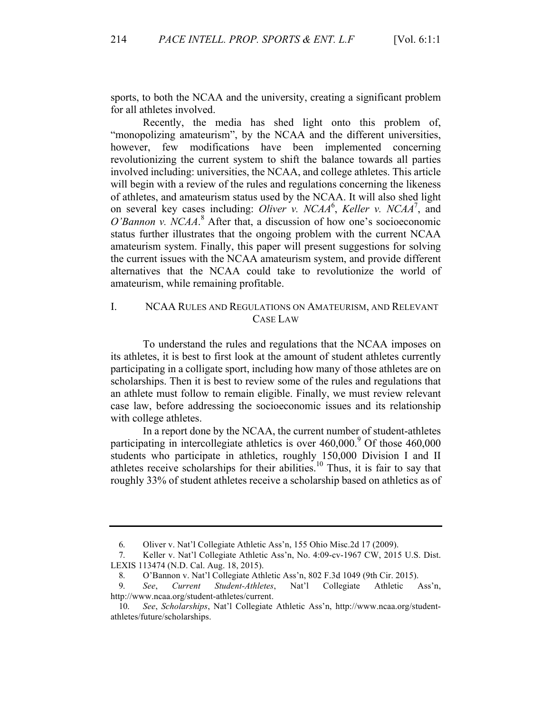sports, to both the NCAA and the university, creating a significant problem for all athletes involved.

Recently, the media has shed light onto this problem of, "monopolizing amateurism", by the NCAA and the different universities, however, few modifications have been implemented concerning revolutionizing the current system to shift the balance towards all parties involved including: universities, the NCAA, and college athletes. This article will begin with a review of the rules and regulations concerning the likeness of athletes, and amateurism status used by the NCAA. It will also shed light on several key cases including: *Oliver v. NCAA<sup>6</sup>*, *Keller v. NCAA<sup>7</sup>*, and *O'Bannon v. NCAA*. <sup>8</sup> After that, a discussion of how one's socioeconomic status further illustrates that the ongoing problem with the current NCAA amateurism system. Finally, this paper will present suggestions for solving the current issues with the NCAA amateurism system, and provide different alternatives that the NCAA could take to revolutionize the world of amateurism, while remaining profitable.

## I. NCAA RULES AND REGULATIONS ON AMATEURISM, AND RELEVANT CASE LAW

To understand the rules and regulations that the NCAA imposes on its athletes, it is best to first look at the amount of student athletes currently participating in a colligate sport, including how many of those athletes are on scholarships. Then it is best to review some of the rules and regulations that an athlete must follow to remain eligible. Finally, we must review relevant case law, before addressing the socioeconomic issues and its relationship with college athletes.

In a report done by the NCAA, the current number of student-athletes participating in intercollegiate athletics is over  $460,000$ .<sup>9</sup> Of those  $460,000$ students who participate in athletics, roughly 150,000 Division I and II athletes receive scholarships for their abilities.<sup>10</sup> Thus, it is fair to say that roughly 33% of student athletes receive a scholarship based on athletics as of

<sup>6.</sup> Oliver v. Nat'l Collegiate Athletic Ass'n, 155 Ohio Misc.2d 17 (2009).

<sup>7.</sup> Keller v. Nat'l Collegiate Athletic Ass'n, No. 4:09-cv-1967 CW, 2015 U.S. Dist. LEXIS 113474 (N.D. Cal. Aug. 18, 2015).

<sup>8.</sup> O'Bannon v. Nat'l Collegiate Athletic Ass'n, 802 F.3d 1049 (9th Cir. 2015).

<sup>9.</sup> *See*, *Current Student-Athletes*, Nat'l Collegiate Athletic Ass'n, http://www.ncaa.org/student-athletes/current.

<sup>10.</sup> *See*, *Scholarships*, Nat'l Collegiate Athletic Ass'n, http://www.ncaa.org/studentathletes/future/scholarships.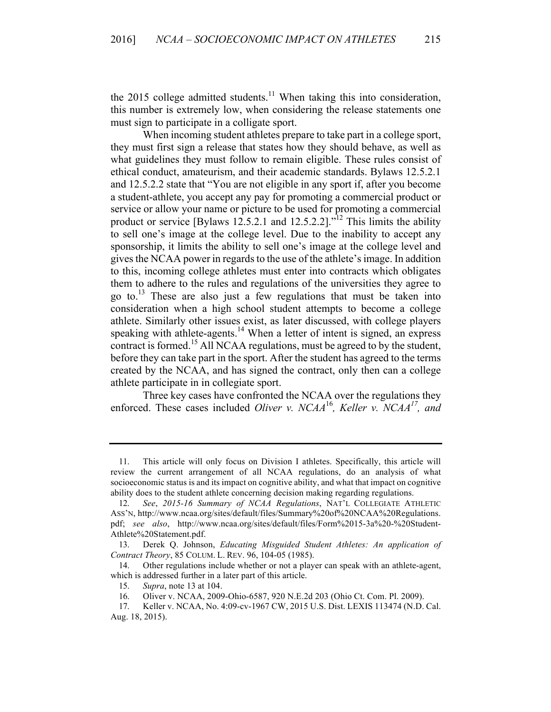the 2015 college admitted students.<sup>11</sup> When taking this into consideration, this number is extremely low, when considering the release statements one must sign to participate in a colligate sport.

When incoming student athletes prepare to take part in a college sport, they must first sign a release that states how they should behave, as well as what guidelines they must follow to remain eligible. These rules consist of ethical conduct, amateurism, and their academic standards. Bylaws 12.5.2.1 and 12.5.2.2 state that "You are not eligible in any sport if, after you become a student-athlete, you accept any pay for promoting a commercial product or service or allow your name or picture to be used for promoting a commercial product or service [Bylaws 12.5.2.1 and 12.5.2.2]."<sup>12</sup> This limits the ability to sell one's image at the college level. Due to the inability to accept any sponsorship, it limits the ability to sell one's image at the college level and gives the NCAA power in regards to the use of the athlete's image. In addition to this, incoming college athletes must enter into contracts which obligates them to adhere to the rules and regulations of the universities they agree to go to.<sup>13</sup> These are also just a few regulations that must be taken into consideration when a high school student attempts to become a college athlete. Similarly other issues exist, as later discussed, with college players speaking with athlete-agents.<sup>14</sup> When a letter of intent is signed, an express contract is formed.<sup>15</sup> All NCAA regulations, must be agreed to by the student, before they can take part in the sport. After the student has agreed to the terms created by the NCAA, and has signed the contract, only then can a college athlete participate in in collegiate sport.

Three key cases have confronted the NCAA over the regulations they enforced. These cases included *Oliver v. NCAA*<sup>16</sup>*, Keller v. NCAA17, and*

<sup>11.</sup> This article will only focus on Division I athletes. Specifically, this article will review the current arrangement of all NCAA regulations, do an analysis of what socioeconomic status is and its impact on cognitive ability, and what that impact on cognitive ability does to the student athlete concerning decision making regarding regulations.

<sup>12.</sup> *See*, *2015-16 Summary of NCAA Regulations*, NAT'L COLLEGIATE ATHLETIC ASS'N, http://www.ncaa.org/sites/default/files/Summary%20of%20NCAA%20Regulations. pdf; *see also*, http://www.ncaa.org/sites/default/files/Form%2015-3a%20-%20Student-Athlete%20Statement.pdf.

<sup>13.</sup> Derek Q. Johnson, *Educating Misguided Student Athletes: An application of Contract Theory*, 85 COLUM. L. REV. 96, 104-05 (1985).

<sup>14.</sup> Other regulations include whether or not a player can speak with an athlete-agent, which is addressed further in a later part of this article.

<sup>15.</sup> *Supra*, note 13 at 104.

<sup>16.</sup> Oliver v. NCAA, 2009-Ohio-6587, 920 N.E.2d 203 (Ohio Ct. Com. Pl. 2009).

<sup>17.</sup> Keller v. NCAA, No. 4:09-cv-1967 CW, 2015 U.S. Dist. LEXIS 113474 (N.D. Cal. Aug. 18, 2015).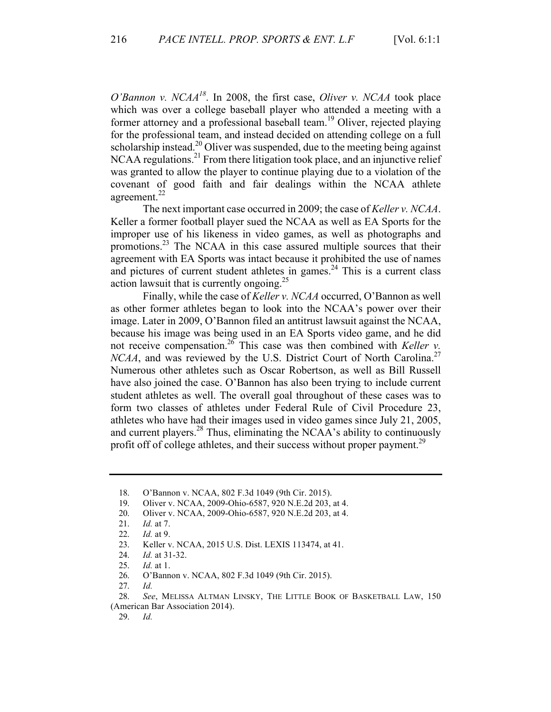*O'Bannon v. NCAA18*. In 2008, the first case, *Oliver v. NCAA* took place which was over a college baseball player who attended a meeting with a former attorney and a professional baseball team.<sup>19</sup> Oliver, rejected playing for the professional team, and instead decided on attending college on a full scholarship instead.<sup>20</sup> Oliver was suspended, due to the meeting being against NCAA regulations.<sup>21</sup> From there litigation took place, and an injunctive relief was granted to allow the player to continue playing due to a violation of the covenant of good faith and fair dealings within the NCAA athlete agreement.<sup>22</sup>

The next important case occurred in 2009; the case of *Keller v. NCAA*. Keller a former football player sued the NCAA as well as EA Sports for the improper use of his likeness in video games, as well as photographs and promotions.23 The NCAA in this case assured multiple sources that their agreement with EA Sports was intact because it prohibited the use of names and pictures of current student athletes in games.<sup>24</sup> This is a current class action lawsuit that is currently ongoing.<sup>25</sup>

Finally, while the case of *Keller v. NCAA* occurred, O'Bannon as well as other former athletes began to look into the NCAA's power over their image. Later in 2009, O'Bannon filed an antitrust lawsuit against the NCAA, because his image was being used in an EA Sports video game, and he did not receive compensation.<sup>26</sup> This case was then combined with *Keller v*. *NCAA*, and was reviewed by the U.S. District Court of North Carolina.<sup>27</sup> Numerous other athletes such as Oscar Robertson, as well as Bill Russell have also joined the case. O'Bannon has also been trying to include current student athletes as well. The overall goal throughout of these cases was to form two classes of athletes under Federal Rule of Civil Procedure 23, athletes who have had their images used in video games since July 21, 2005, and current players.<sup>28</sup> Thus, eliminating the NCAA's ability to continuously profit off of college athletes, and their success without proper payment.<sup>29</sup>

25. *Id.* at 1.

<sup>18.</sup> O'Bannon v. NCAA, 802 F.3d 1049 (9th Cir. 2015).

<sup>19.</sup> Oliver v. NCAA, 2009-Ohio-6587, 920 N.E.2d 203, at 4.

<sup>20.</sup> Oliver v. NCAA, 2009-Ohio-6587, 920 N.E.2d 203, at 4.

<sup>21.</sup> *Id.* at 7.

<sup>22.</sup> *Id.* at 9.

<sup>23.</sup> Keller v. NCAA, 2015 U.S. Dist. LEXIS 113474, at 41.

<sup>24.</sup> *Id.* at 31-32.

<sup>26.</sup> O'Bannon v. NCAA, 802 F.3d 1049 (9th Cir. 2015).

<sup>27.</sup> *Id.*

<sup>28.</sup> *See*, MELISSA ALTMAN LINSKY, THE LITTLE BOOK OF BASKETBALL LAW, 150 (American Bar Association 2014).

<sup>29.</sup> *Id.*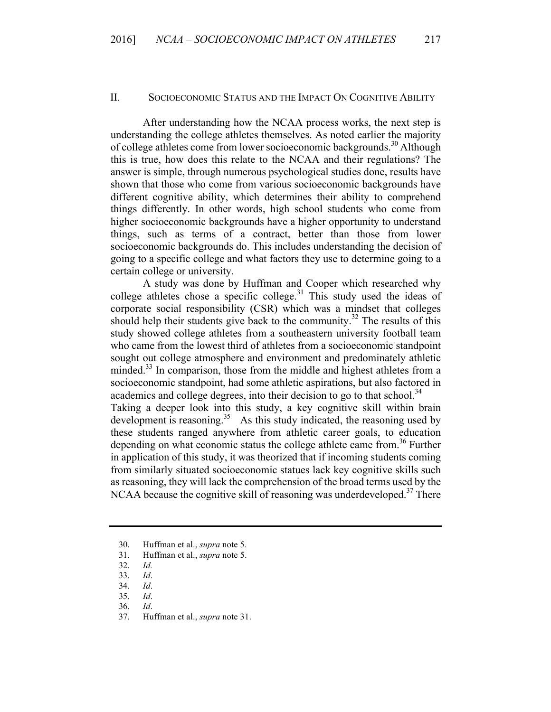#### II. SOCIOECONOMIC STATUS AND THE IMPACT ON COGNITIVE ABILITY

After understanding how the NCAA process works, the next step is understanding the college athletes themselves. As noted earlier the majority of college athletes come from lower socioeconomic backgrounds.<sup>30</sup> Although this is true, how does this relate to the NCAA and their regulations? The answer is simple, through numerous psychological studies done, results have shown that those who come from various socioeconomic backgrounds have different cognitive ability, which determines their ability to comprehend things differently. In other words, high school students who come from higher socioeconomic backgrounds have a higher opportunity to understand things, such as terms of a contract, better than those from lower socioeconomic backgrounds do. This includes understanding the decision of going to a specific college and what factors they use to determine going to a certain college or university.

A study was done by Huffman and Cooper which researched why college athletes chose a specific college.<sup>31</sup> This study used the ideas of corporate social responsibility (CSR) which was a mindset that colleges should help their students give back to the community.<sup>32</sup> The results of this study showed college athletes from a southeastern university football team who came from the lowest third of athletes from a socioeconomic standpoint sought out college atmosphere and environment and predominately athletic minded.<sup>33</sup> In comparison, those from the middle and highest athletes from a socioeconomic standpoint, had some athletic aspirations, but also factored in academics and college degrees, into their decision to go to that school.<sup>34</sup>

Taking a deeper look into this study, a key cognitive skill within brain development is reasoning.<sup>35</sup> As this study indicated, the reasoning used by these students ranged anywhere from athletic career goals, to education depending on what economic status the college athlete came from.<sup>36</sup> Further in application of this study, it was theorized that if incoming students coming from similarly situated socioeconomic statues lack key cognitive skills such as reasoning, they will lack the comprehension of the broad terms used by the NCAA because the cognitive skill of reasoning was underdeveloped.<sup>37</sup> There

31. Huffman et al., *supra* note 5.

- 35. *Id*.
- 36. *Id*.
- 37. Huffman et al., *supra* note 31.

<sup>30.</sup> Huffman et al., *supra* note 5.

<sup>32.</sup> *Id.*

<sup>33.</sup> *Id*.

<sup>34.</sup> *Id*.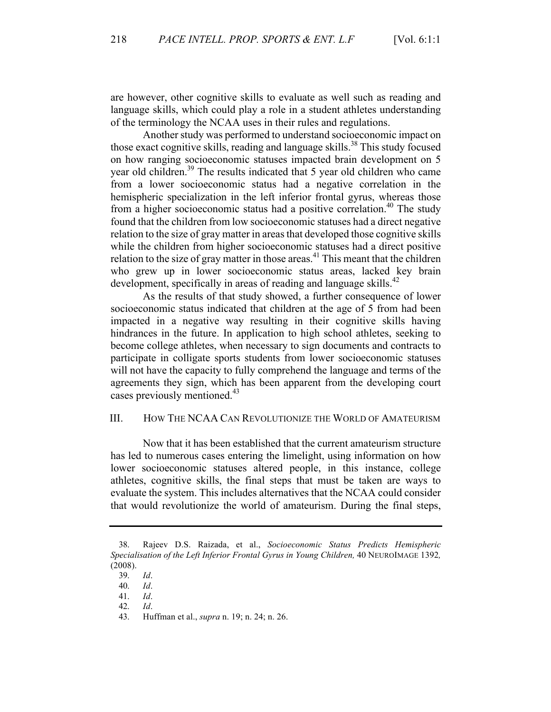are however, other cognitive skills to evaluate as well such as reading and language skills, which could play a role in a student athletes understanding of the terminology the NCAA uses in their rules and regulations.

Another study was performed to understand socioeconomic impact on those exact cognitive skills, reading and language skills. <sup>38</sup> This study focused on how ranging socioeconomic statuses impacted brain development on 5 year old children.39 The results indicated that 5 year old children who came from a lower socioeconomic status had a negative correlation in the hemispheric specialization in the left inferior frontal gyrus, whereas those from a higher socioeconomic status had a positive correlation.<sup>40</sup> The study found that the children from low socioeconomic statuses had a direct negative relation to the size of gray matter in areas that developed those cognitive skills while the children from higher socioeconomic statuses had a direct positive relation to the size of gray matter in those areas.<sup> $41$ </sup> This meant that the children who grew up in lower socioeconomic status areas, lacked key brain development, specifically in areas of reading and language skills.<sup>42</sup>

As the results of that study showed, a further consequence of lower socioeconomic status indicated that children at the age of 5 from had been impacted in a negative way resulting in their cognitive skills having hindrances in the future. In application to high school athletes, seeking to become college athletes, when necessary to sign documents and contracts to participate in colligate sports students from lower socioeconomic statuses will not have the capacity to fully comprehend the language and terms of the agreements they sign, which has been apparent from the developing court cases previously mentioned.<sup>43</sup>

### III. HOW THE NCAA CAN REVOLUTIONIZE THE WORLD OF AMATEURISM

Now that it has been established that the current amateurism structure has led to numerous cases entering the limelight, using information on how lower socioeconomic statuses altered people, in this instance, college athletes, cognitive skills, the final steps that must be taken are ways to evaluate the system. This includes alternatives that the NCAA could consider that would revolutionize the world of amateurism. During the final steps,

42. *Id*.

<sup>38.</sup> Rajeev D.S. Raizada, et al., *Socioeconomic Status Predicts Hemispheric Specialisation of the Left Inferior Frontal Gyrus in Young Children,* 40 NEUROIMAGE 1392*,* (2008).

<sup>39.</sup> *Id*.

<sup>40.</sup> *Id*.

<sup>41.</sup> *Id*.

<sup>43.</sup> Huffman et al., *supra* n. 19; n. 24; n. 26.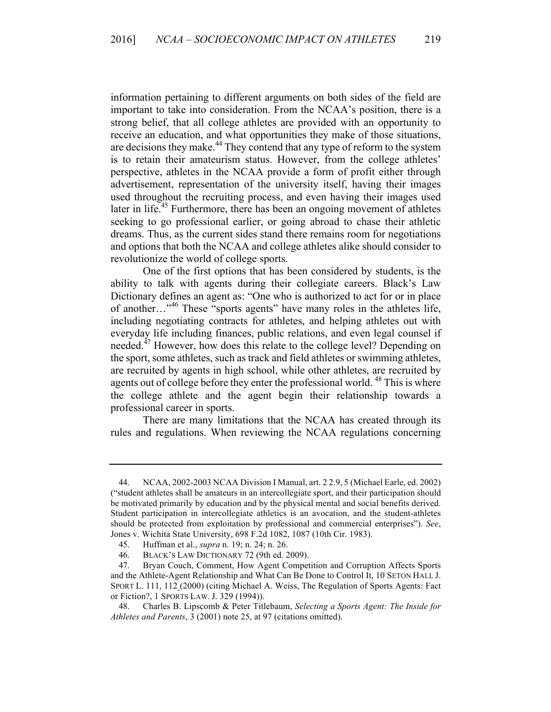information pertaining to different arguments on both sides of the field are important to take into consideration. From the NCAA's position, there is a strong belief, that all college athletes are provided with an opportunity to receive an education, and what opportunities they make of those situations, are decisions they make.<sup>44</sup> They contend that any type of reform to the system is to retain their amateurism status. However, from the college athletes' perspective, athletes in the NCAA provide a form of profit either through advertisement, representation of the university itself, having their images used throughout the recruiting process, and even having their images used later in life.<sup>45</sup> Furthermore, there has been an ongoing movement of athletes seeking to go professional earlier, or going abroad to chase their athletic dreams. Thus, as the current sides stand there remains room for negotiations and options that both the NCAA and college athletes alike should consider to revolutionize the world of college sports.

One of the first options that has been considered by students, is the ability to talk with agents during their collegiate careers. Black's Law Dictionary defines an agent as: "One who is authorized to act for or in place of another…"<sup>46</sup> These "sports agents" have many roles in the athletes life, including negotiating contracts for athletes, and helping athletes out with everyday life including finances, public relations, and even legal counsel if needed.<sup>47</sup> However, how does this relate to the college level? Depending on the sport, some athletes, such as track and field athletes or swimming athletes, are recruited by agents in high school, while other athletes, are recruited by agents out of college before they enter the professional world.<sup>48</sup> This is where the college athlete and the agent begin their relationship towards a professional career in sports.

There are many limitations that the NCAA has created through its rules and regulations. When reviewing the NCAA regulations concerning

<sup>44.</sup> NCAA, 2002-2003 NCAA Division I Manual, art. 2 2.9, 5 (Michael Earle, ed. 2002) ("student athletes shall be amateurs in an intercollegiate sport, and their participation should be motivated primarily by education and by the physical mental and social benefits derived. Student participation in intercollegiate athletics is an avocation, and the student-athletes should be protected from exploitation by professional and commercial enterprises"). *See*, Jones v. Wichita State University, 698 F.2d 1082, 1087 (10th Cir. 1983).

<sup>45.</sup> Huffman et al., *supra* n. 19; n. 24; n. 26.

<sup>46.</sup> BLACK'S LAW DICTIONARY 72 (9th ed. 2009).

<sup>47.</sup> Bryan Couch, Comment, How Agent Competition and Corruption Affects Sports and the Athlete-Agent Relationship and What Can Be Done to Control It, 10 SETON HALL J. SPORT L. 111, 112 (2000) (citing Michael A. Weiss, The Regulation of Sports Agents: Fact or Fiction?, 1 SPORTS LAW. J. 329 (1994)).

<sup>48.</sup> Charles B. Lipscomb & Peter Titlebaum, *Selecting a Sports Agent: The Inside for Athletes and Parents*, 3 (2001) note 25, at 97 (citations omitted).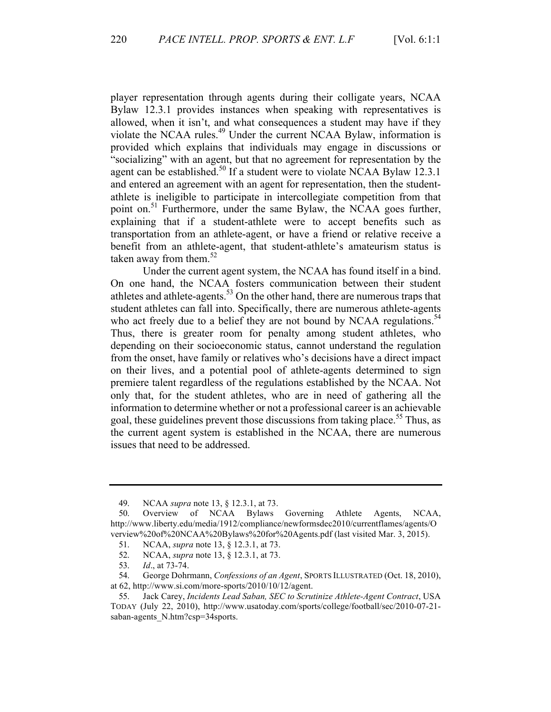player representation through agents during their colligate years, NCAA Bylaw 12.3.1 provides instances when speaking with representatives is allowed, when it isn't, and what consequences a student may have if they violate the NCAA rules.<sup>49</sup> Under the current NCAA Bylaw, information is provided which explains that individuals may engage in discussions or "socializing" with an agent, but that no agreement for representation by the agent can be established.<sup>50</sup> If a student were to violate NCAA Bylaw 12.3.1 and entered an agreement with an agent for representation, then the studentathlete is ineligible to participate in intercollegiate competition from that point on.<sup>51</sup> Furthermore, under the same Bylaw, the NCAA goes further, explaining that if a student-athlete were to accept benefits such as transportation from an athlete-agent, or have a friend or relative receive a benefit from an athlete-agent, that student-athlete's amateurism status is taken away from them. $52$ 

Under the current agent system, the NCAA has found itself in a bind. On one hand, the NCAA fosters communication between their student athletes and athlete-agents.<sup>53</sup> On the other hand, there are numerous traps that student athletes can fall into. Specifically, there are numerous athlete-agents who act freely due to a belief they are not bound by NCAA regulations.<sup>54</sup> Thus, there is greater room for penalty among student athletes, who depending on their socioeconomic status, cannot understand the regulation from the onset, have family or relatives who's decisions have a direct impact on their lives, and a potential pool of athlete-agents determined to sign premiere talent regardless of the regulations established by the NCAA. Not only that, for the student athletes, who are in need of gathering all the information to determine whether or not a professional career is an achievable goal, these guidelines prevent those discussions from taking place.<sup>55</sup> Thus, as the current agent system is established in the NCAA, there are numerous issues that need to be addressed.

<sup>49.</sup> NCAA *supra* note 13, § 12.3.1, at 73.

<sup>50.</sup> Overview of NCAA Bylaws Governing Athlete Agents, NCAA, http://www.liberty.edu/media/1912/compliance/newformsdec2010/currentflames/agents/O verview%20of%20NCAA%20Bylaws%20for%20Agents.pdf (last visited Mar. 3, 2015).

<sup>51.</sup> NCAA, *supra* note 13, § 12.3.1, at 73.

<sup>52.</sup> NCAA, *supra* note 13, § 12.3.1, at 73.

<sup>53.</sup> *Id*., at 73-74.

<sup>54.</sup> George Dohrmann, *Confessions of an Agent*, SPORTS ILLUSTRATED (Oct. 18, 2010), at 62, http://www.si.com/more-sports/2010/10/12/agent.

<sup>55.</sup> Jack Carey, *Incidents Lead Saban, SEC to Scrutinize Athlete-Agent Contract*, USA TODAY (July 22, 2010), http://www.usatoday.com/sports/college/football/sec/2010-07-21 saban-agents\_N.htm?csp=34sports.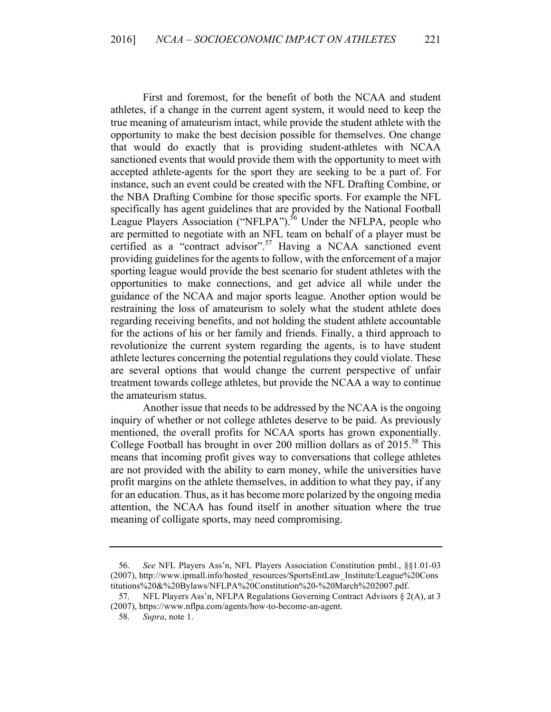First and foremost, for the benefit of both the NCAA and student athletes, if a change in the current agent system, it would need to keep the true meaning of amateurism intact, while provide the student athlete with the opportunity to make the best decision possible for themselves. One change that would do exactly that is providing student-athletes with NCAA sanctioned events that would provide them with the opportunity to meet with accepted athlete-agents for the sport they are seeking to be a part of. For instance, such an event could be created with the NFL Drafting Combine, or the NBA Drafting Combine for those specific sports. For example the NFL specifically has agent guidelines that are provided by the National Football League Players Association ("NFLPA").<sup>56</sup> Under the NFLPA, people who are permitted to negotiate with an NFL team on behalf of a player must be certified as a "contract advisor".<sup>57</sup> Having a NCAA sanctioned event providing guidelines for the agents to follow, with the enforcement of a major sporting league would provide the best scenario for student athletes with the opportunities to make connections, and get advice all while under the guidance of the NCAA and major sports league. Another option would be restraining the loss of amateurism to solely what the student athlete does regarding receiving benefits, and not holding the student athlete accountable for the actions of his or her family and friends. Finally, a third approach to revolutionize the current system regarding the agents, is to have student athlete lectures concerning the potential regulations they could violate. These are several options that would change the current perspective of unfair treatment towards college athletes, but provide the NCAA a way to continue the amateurism status.

Another issue that needs to be addressed by the NCAA is the ongoing inquiry of whether or not college athletes deserve to be paid. As previously mentioned, the overall profits for NCAA sports has grown exponentially. College Football has brought in over 200 million dollars as of  $2015^{58}$  This means that incoming profit gives way to conversations that college athletes are not provided with the ability to earn money, while the universities have profit margins on the athlete themselves, in addition to what they pay, if any for an education. Thus, as it has become more polarized by the ongoing media attention, the NCAA has found itself in another situation where the true meaning of colligate sports, may need compromising.

<sup>56.</sup> *See* NFL Players Ass'n, NFL Players Association Constitution pmbl., §§1.01-03 (2007), http://www.ipmall.info/hosted\_resources/SportsEntLaw\_Institute/League%20Cons titutions%20&%20Bylaws/NFLPA%20Constitution%20-%20March%202007.pdf.

<sup>57.</sup> NFL Players Ass'n, NFLPA Regulations Governing Contract Advisors § 2(A), at 3 (2007), https://www.nflpa.com/agents/how-to-become-an-agent.

<sup>58.</sup> *Supra*, note 1.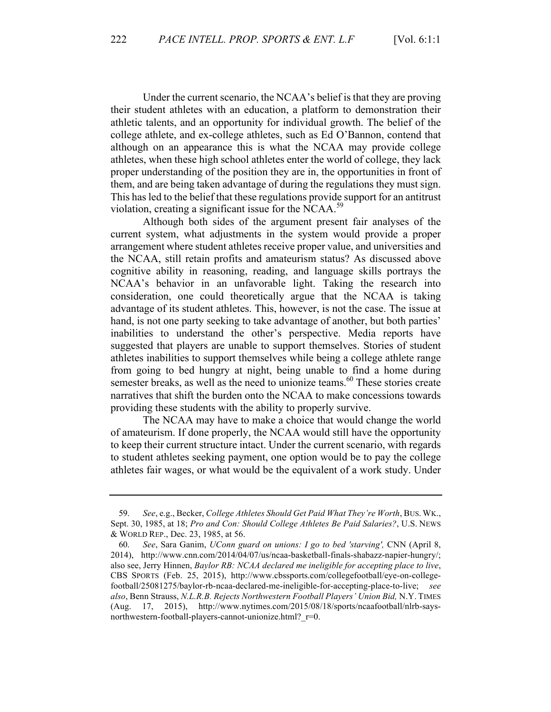Under the current scenario, the NCAA's belief is that they are proving their student athletes with an education, a platform to demonstration their athletic talents, and an opportunity for individual growth. The belief of the college athlete, and ex-college athletes, such as Ed O'Bannon, contend that although on an appearance this is what the NCAA may provide college athletes, when these high school athletes enter the world of college, they lack proper understanding of the position they are in, the opportunities in front of them, and are being taken advantage of during the regulations they must sign. This has led to the belief that these regulations provide support for an antitrust violation, creating a significant issue for the NCAA.<sup>59</sup>

Although both sides of the argument present fair analyses of the current system, what adjustments in the system would provide a proper arrangement where student athletes receive proper value, and universities and the NCAA, still retain profits and amateurism status? As discussed above cognitive ability in reasoning, reading, and language skills portrays the NCAA's behavior in an unfavorable light. Taking the research into consideration, one could theoretically argue that the NCAA is taking advantage of its student athletes. This, however, is not the case. The issue at hand, is not one party seeking to take advantage of another, but both parties' inabilities to understand the other's perspective. Media reports have suggested that players are unable to support themselves. Stories of student athletes inabilities to support themselves while being a college athlete range from going to bed hungry at night, being unable to find a home during semester breaks, as well as the need to unionize teams. $60$  These stories create narratives that shift the burden onto the NCAA to make concessions towards providing these students with the ability to properly survive.

The NCAA may have to make a choice that would change the world of amateurism. If done properly, the NCAA would still have the opportunity to keep their current structure intact. Under the current scenario, with regards to student athletes seeking payment, one option would be to pay the college athletes fair wages, or what would be the equivalent of a work study. Under

<sup>59.</sup> *See*, e.g., Becker, *College Athletes Should Get Paid What They're Worth*, BUS. WK., Sept. 30, 1985, at 18; *Pro and Con: Should College Athletes Be Paid Salaries?*, U.S. NEWS & WORLD REP., Dec. 23, 1985, at 56.

<sup>60.</sup> *See*, Sara Ganim, *UConn guard on unions: I go to bed 'starving',* CNN (April 8, 2014), http://www.cnn.com/2014/04/07/us/ncaa-basketball-finals-shabazz-napier-hungry/; also see, Jerry Hinnen, *Baylor RB: NCAA declared me ineligible for accepting place to live*, CBS SPORTS (Feb. 25, 2015), http://www.cbssports.com/collegefootball/eye-on-collegefootball/25081275/baylor-rb-ncaa-declared-me-ineligible-for-accepting-place-to-live; *see also*, Benn Strauss, *N.L.R.B. Rejects Northwestern Football Players' Union Bid,* N.Y. TIMES (Aug. 17, 2015), http://www.nytimes.com/2015/08/18/sports/ncaafootball/nlrb-saysnorthwestern-football-players-cannot-unionize.html? r=0.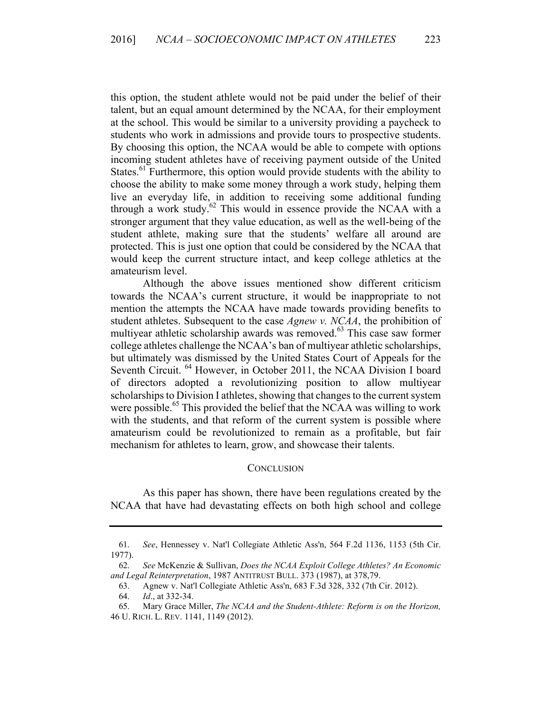this option, the student athlete would not be paid under the belief of their talent, but an equal amount determined by the NCAA, for their employment at the school. This would be similar to a university providing a paycheck to students who work in admissions and provide tours to prospective students. By choosing this option, the NCAA would be able to compete with options incoming student athletes have of receiving payment outside of the United States.<sup>61</sup> Furthermore, this option would provide students with the ability to choose the ability to make some money through a work study, helping them live an everyday life, in addition to receiving some additional funding through a work study.62 This would in essence provide the NCAA with a stronger argument that they value education, as well as the well-being of the student athlete, making sure that the students' welfare all around are protected. This is just one option that could be considered by the NCAA that would keep the current structure intact, and keep college athletics at the amateurism level.

Although the above issues mentioned show different criticism towards the NCAA's current structure, it would be inappropriate to not mention the attempts the NCAA have made towards providing benefits to student athletes. Subsequent to the case *Agnew v. NCAA*, the prohibition of multiyear athletic scholarship awards was removed.<sup>63</sup> This case saw former college athletes challenge the NCAA's ban of multiyear athletic scholarships, but ultimately was dismissed by the United States Court of Appeals for the Seventh Circuit. <sup>64</sup> However, in October 2011, the NCAA Division I board of directors adopted a revolutionizing position to allow multiyear scholarships to Division I athletes, showing that changes to the current system were possible.<sup>65</sup> This provided the belief that the NCAA was willing to work with the students, and that reform of the current system is possible where amateurism could be revolutionized to remain as a profitable, but fair mechanism for athletes to learn, grow, and showcase their talents.

#### **CONCLUSION**

As this paper has shown, there have been regulations created by the NCAA that have had devastating effects on both high school and college

<sup>61.</sup> *See*, Hennessey v. Nat'l Collegiate Athletic Ass'n, 564 F.2d 1136, 1153 (5th Cir. 1977).

<sup>62.</sup> *See* McKenzie & Sullivan, *Does the NCAA Exploit College Athletes? An Economic and Legal Reinterpretation*, 1987 ANTITRUST BULL. 373 (1987), at 378,79.

<sup>63.</sup> Agnew v. Nat'l Collegiate Athletic Ass'n, 683 F.3d 328, 332 (7th Cir. 2012).

<sup>64.</sup> *Id*., at 332-34.

<sup>65.</sup> Mary Grace Miller, *The NCAA and the Student-Athlete: Reform is on the Horizon,* 46 U. RICH. L. REV. 1141, 1149 (2012).